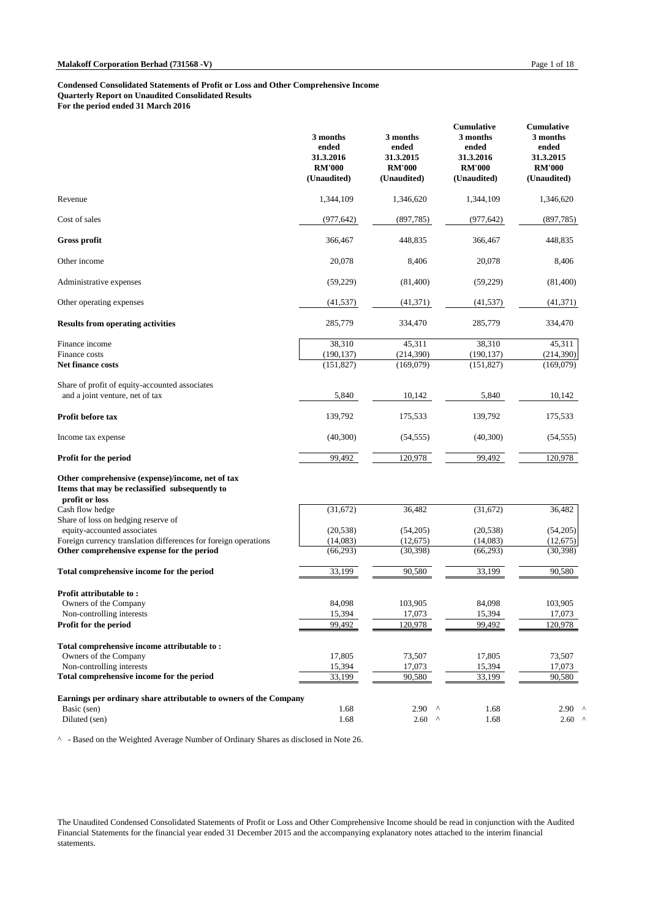|                                                                                                                      | 3 months<br>ended<br>31.3.2016<br><b>RM'000</b><br>(Unaudited) | 3 months<br>ended<br>31.3.2015<br><b>RM'000</b><br>(Unaudited) | <b>Cumulative</b><br>3 months<br>ended<br>31.3.2016<br><b>RM'000</b><br>(Unaudited) | <b>Cumulative</b><br>3 months<br>ended<br>31.3.2015<br><b>RM'000</b><br>(Unaudited) |
|----------------------------------------------------------------------------------------------------------------------|----------------------------------------------------------------|----------------------------------------------------------------|-------------------------------------------------------------------------------------|-------------------------------------------------------------------------------------|
| Revenue                                                                                                              | 1,344,109                                                      | 1,346,620                                                      | 1,344,109                                                                           | 1,346,620                                                                           |
| Cost of sales                                                                                                        | (977, 642)                                                     | (897, 785)                                                     | (977, 642)                                                                          | (897, 785)                                                                          |
| Gross profit                                                                                                         | 366,467                                                        | 448,835                                                        | 366,467                                                                             | 448,835                                                                             |
| Other income                                                                                                         | 20,078                                                         | 8,406                                                          | 20,078                                                                              | 8,406                                                                               |
| Administrative expenses                                                                                              | (59, 229)                                                      | (81,400)                                                       | (59,229)                                                                            | (81,400)                                                                            |
| Other operating expenses                                                                                             | (41, 537)                                                      | (41,371)                                                       | (41, 537)                                                                           | (41,371)                                                                            |
| <b>Results from operating activities</b>                                                                             | 285,779                                                        | 334,470                                                        | 285,779                                                                             | 334,470                                                                             |
| Finance income<br>Finance costs                                                                                      | 38,310<br>(190, 137)                                           | 45,311<br>(214,390)                                            | 38,310<br>(190, 137)                                                                | 45,311<br>(214,390)                                                                 |
| Net finance costs                                                                                                    | (151, 827)                                                     | (169,079)                                                      | (151, 827)                                                                          | (169,079)                                                                           |
| Share of profit of equity-accounted associates<br>and a joint venture, net of tax                                    | 5,840                                                          | 10,142                                                         | 5,840                                                                               | 10,142                                                                              |
| Profit before tax                                                                                                    | 139,792                                                        | 175,533                                                        | 139,792                                                                             | 175,533                                                                             |
| Income tax expense                                                                                                   | (40, 300)                                                      | (54, 555)                                                      | (40,300)                                                                            | (54, 555)                                                                           |
| <b>Profit for the period</b>                                                                                         | 99,492                                                         | 120,978                                                        | 99,492                                                                              | 120,978                                                                             |
| Other comprehensive (expense)/income, net of tax<br>Items that may be reclassified subsequently to<br>profit or loss |                                                                |                                                                |                                                                                     |                                                                                     |
| Cash flow hedge<br>Share of loss on hedging reserve of                                                               | (31,672)                                                       | 36,482                                                         | (31,672)                                                                            | 36,482                                                                              |
| equity-accounted associates                                                                                          | (20, 538)                                                      | (54,205)                                                       | (20, 538)                                                                           | (54,205)                                                                            |
| Foreign currency translation differences for foreign operations<br>Other comprehensive expense for the period        | (14,083)<br>(66, 293)                                          | (12,675)<br>(30, 398)                                          | (14,083)<br>(66, 293)                                                               | (12,675)<br>(30, 398)                                                               |
|                                                                                                                      |                                                                |                                                                |                                                                                     |                                                                                     |
| Total comprehensive income for the period                                                                            | 33,199                                                         | 90,580                                                         | 33,199                                                                              | 90,580                                                                              |
| Profit attributable to:                                                                                              | 84,098                                                         | 103,905                                                        | 84,098                                                                              |                                                                                     |
| Owners of the Company<br>Non-controlling interests                                                                   | 15,394                                                         | 17,073                                                         | 15,394                                                                              | 103,905<br>17,073                                                                   |
| Profit for the period                                                                                                | 99,492                                                         | 120,978                                                        | 99,492                                                                              | 120,978                                                                             |
| Total comprehensive income attributable to:                                                                          |                                                                |                                                                |                                                                                     |                                                                                     |
| Owners of the Company                                                                                                | 17,805                                                         | 73,507                                                         | 17,805                                                                              | 73,507                                                                              |
| Non-controlling interests                                                                                            | 15,394                                                         | 17,073                                                         | 15,394                                                                              | 17,073                                                                              |
| Total comprehensive income for the period                                                                            | 33,199                                                         | 90,580                                                         | 33,199                                                                              | 90,580                                                                              |
| Earnings per ordinary share attributable to owners of the Company                                                    |                                                                |                                                                |                                                                                     |                                                                                     |
| Basic (sen)                                                                                                          | 1.68                                                           | $2.90$ ^                                                       | 1.68                                                                                | $2.90$ $'$                                                                          |
| Diluted (sen)                                                                                                        | 1.68                                                           | $2.60$ ^                                                       | 1.68                                                                                | $2.60$ $'$                                                                          |

^ - Based on the Weighted Average Number of Ordinary Shares as disclosed in Note 26.

The Unaudited Condensed Consolidated Statements of Profit or Loss and Other Comprehensive Income should be read in conjunction with the Audited Financial Statements for the financial year ended 31 December 2015 and the accompanying explanatory notes attached to the interim financial statements.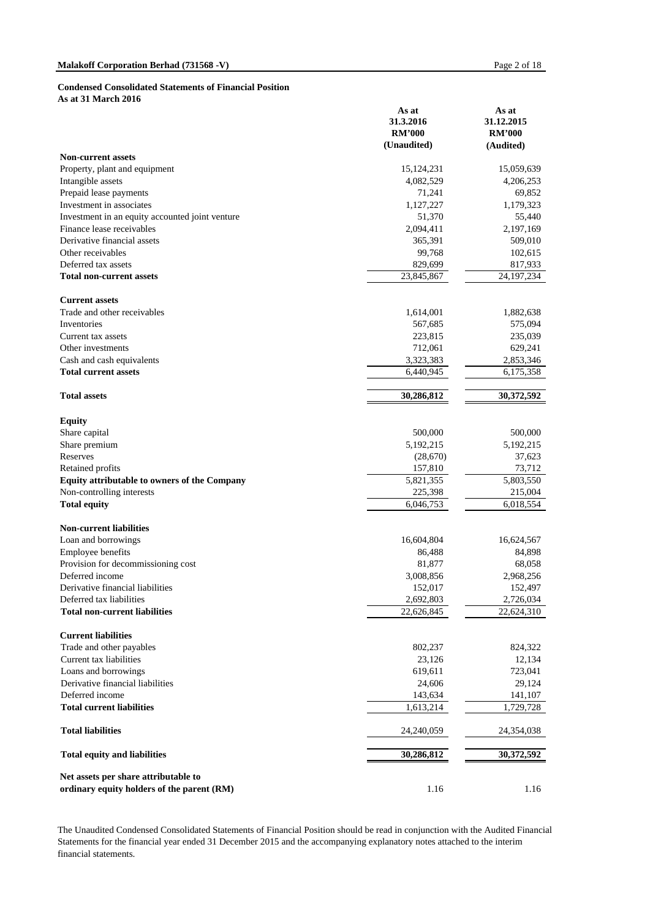#### **Condensed Consolidated Statements of Financial Position**

**As at 31 March 2016**

|                                                                                    | As at<br>31.3.2016<br><b>RM'000</b> | As at<br>31.12.2015<br><b>RM'000</b> |
|------------------------------------------------------------------------------------|-------------------------------------|--------------------------------------|
| <b>Non-current assets</b>                                                          | (Unaudited)                         | (Audited)                            |
| Property, plant and equipment                                                      | 15, 124, 231                        | 15,059,639                           |
| Intangible assets                                                                  | 4,082,529                           | 4,206,253                            |
| Prepaid lease payments                                                             | 71,241                              | 69,852                               |
| Investment in associates                                                           | 1,127,227                           | 1,179,323                            |
| Investment in an equity accounted joint venture                                    | 51,370                              | 55,440                               |
| Finance lease receivables                                                          | 2,094,411                           | 2,197,169                            |
| Derivative financial assets                                                        | 365,391                             | 509,010                              |
| Other receivables                                                                  | 99,768                              | 102,615                              |
| Deferred tax assets                                                                | 829,699                             | 817,933                              |
| <b>Total non-current assets</b>                                                    | 23,845,867                          | 24, 197, 234                         |
| <b>Current assets</b>                                                              |                                     |                                      |
| Trade and other receivables                                                        | 1,614,001                           | 1,882,638                            |
| Inventories                                                                        | 567,685                             | 575,094                              |
| Current tax assets                                                                 | 223,815                             | 235,039                              |
| Other investments                                                                  | 712,061                             | 629,241                              |
| Cash and cash equivalents                                                          | 3,323,383                           | 2,853,346                            |
| <b>Total current assets</b>                                                        | 6,440,945                           | 6,175,358                            |
| <b>Total assets</b>                                                                | 30,286,812                          | 30,372,592                           |
| <b>Equity</b>                                                                      |                                     |                                      |
| Share capital                                                                      | 500,000                             | 500,000                              |
| Share premium                                                                      | 5,192,215                           | 5,192,215                            |
| Reserves                                                                           | (28,670)                            | 37,623                               |
| Retained profits                                                                   | 157,810                             | 73,712                               |
| <b>Equity attributable to owners of the Company</b>                                | 5,821,355                           | 5,803,550                            |
| Non-controlling interests                                                          | 225,398                             | 215,004                              |
| <b>Total equity</b>                                                                | 6,046,753                           | 6,018,554                            |
| <b>Non-current liabilities</b>                                                     |                                     |                                      |
| Loan and borrowings                                                                | 16,604,804                          | 16,624,567                           |
| Employee benefits                                                                  | 86,488                              | 84,898                               |
| Provision for decommissioning cost                                                 | 81,877                              | 68,058                               |
| Deferred income                                                                    | 3,008,856                           | 2,968,256                            |
| Derivative financial liabilities                                                   | 152,017                             | 152,497                              |
| Deferred tax liabilities<br><b>Total non-current liabilities</b>                   | 2,692,803<br>22,626,845             | 2,726,034<br>22,624,310              |
|                                                                                    |                                     |                                      |
| <b>Current liabilities</b>                                                         |                                     |                                      |
| Trade and other payables                                                           | 802,237                             | 824,322                              |
| Current tax liabilities                                                            | 23,126                              | 12,134                               |
| Loans and borrowings                                                               | 619,611                             | 723,041                              |
| Derivative financial liabilities                                                   | 24,606                              | 29,124                               |
| Deferred income                                                                    | 143,634                             | 141,107                              |
| <b>Total current liabilities</b>                                                   | 1,613,214                           | 1,729,728                            |
| <b>Total liabilities</b>                                                           | 24,240,059                          | 24,354,038                           |
| <b>Total equity and liabilities</b>                                                | 30,286,812                          | 30,372,592                           |
| Net assets per share attributable to<br>ordinary equity holders of the parent (RM) | 1.16                                | 1.16                                 |

The Unaudited Condensed Consolidated Statements of Financial Position should be read in conjunction with the Audited Financial Statements for the financial year ended 31 December 2015 and the accompanying explanatory notes attached to the interim financial statements.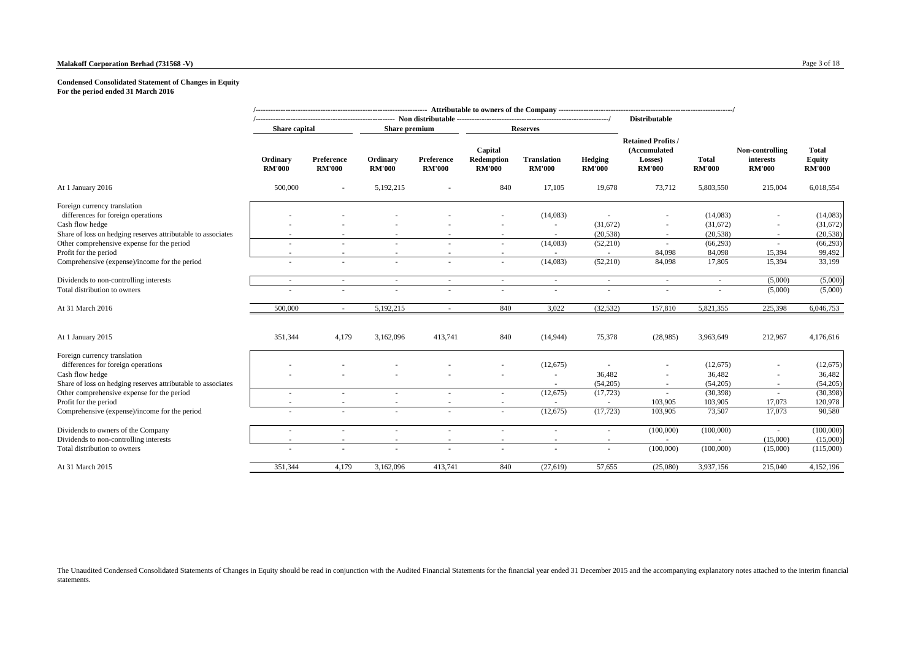#### **Malakoff Corporation Berhad (731568 -V)** Page 3 of 18

#### **Condensed Consolidated Statement of Changes in Equity For the period ended 31 March 2016**

|                                                                        |                           |                             |                           |                             |                                        |                                     |                          | <b>Distributable</b>                                                  |                               |                                               |                                         |
|------------------------------------------------------------------------|---------------------------|-----------------------------|---------------------------|-----------------------------|----------------------------------------|-------------------------------------|--------------------------|-----------------------------------------------------------------------|-------------------------------|-----------------------------------------------|-----------------------------------------|
|                                                                        | Share capital             |                             | Share premium             |                             |                                        | <b>Reserves</b>                     |                          |                                                                       |                               |                                               |                                         |
|                                                                        | Ordinary<br><b>RM'000</b> | Preference<br><b>RM'000</b> | Ordinary<br><b>RM'000</b> | Preference<br><b>RM'000</b> | Capital<br>Redemption<br><b>RM'000</b> | <b>Translation</b><br><b>RM'000</b> | Hedging<br><b>RM'000</b> | <b>Retained Profits /</b><br>(Accumulated<br>Losses)<br><b>RM'000</b> | <b>Total</b><br><b>RM'000</b> | Non-controlling<br>interests<br><b>RM'000</b> | Total<br><b>Equity</b><br><b>RM'000</b> |
| At 1 January 2016                                                      | 500,000                   |                             | 5,192,215                 |                             | 840                                    | 17,105                              | 19,678                   | 73,712                                                                | 5,803,550                     | 215,004                                       | 6,018,554                               |
| Foreign currency translation<br>differences for foreign operations     |                           |                             |                           |                             |                                        | (14,083)                            |                          |                                                                       | (14,083)                      | $\sim$                                        | (14,083)                                |
| Cash flow hedge                                                        |                           |                             |                           |                             |                                        |                                     | (31,672)                 |                                                                       | (31,672)                      |                                               | (31,672)                                |
| Share of loss on hedging reserves attributable to associates           |                           |                             |                           |                             |                                        |                                     | (20, 538)                | $\overline{\phantom{a}}$                                              | (20, 538)                     | ٠                                             | (20, 538)                               |
| Other comprehensive expense for the period                             |                           |                             |                           |                             |                                        | (14,083)                            | (52,210)                 |                                                                       | (66, 293)                     |                                               | (66, 293)                               |
| Profit for the period<br>Comprehensive (expense)/income for the period | $\sim$                    | $\overline{\phantom{a}}$    | $\sim$                    |                             | $\overline{\phantom{a}}$<br>$\sim$     | (14,083)                            | $\sim$<br>(52,210)       | 84,098<br>84,098                                                      | 84,098<br>17,805              | 15,394<br>15,394                              | 99,492<br>33,199                        |
|                                                                        |                           |                             |                           |                             |                                        |                                     |                          |                                                                       |                               |                                               |                                         |
| Dividends to non-controlling interests                                 | $\sim$                    | $\sim$                      | $\sim$                    | $\sim$                      | $\sim$                                 | $\sim$                              | $\sim$                   | $\sim$                                                                | ÷                             | (5,000)                                       | (5,000)                                 |
| Total distribution to owners                                           |                           | $\sim$                      |                           |                             |                                        | ÷                                   | ٠                        | ٠                                                                     | ÷.                            | (5,000)                                       | (5,000)                                 |
| At 31 March 2016                                                       | 500,000                   |                             | 5,192,215                 |                             | 840                                    | 3.022                               | (32, 532)                | 157,810                                                               | 5,821,355                     | 225,398                                       | 6,046,753                               |
| At 1 January 2015                                                      | 351,344                   | 4,179                       | 3,162,096                 | 413,741                     | 840                                    | (14, 944)                           | 75,378                   | (28,985)                                                              | 3,963,649                     | 212,967                                       | 4,176,616                               |
| Foreign currency translation<br>differences for foreign operations     |                           |                             |                           |                             |                                        | (12,675)                            | $\sim$                   |                                                                       | (12, 675)                     |                                               | (12, 675)                               |
| Cash flow hedge                                                        |                           |                             |                           |                             |                                        | ×.                                  | 36,482                   |                                                                       | 36,482                        |                                               | 36,482                                  |
| Share of loss on hedging reserves attributable to associates           |                           |                             |                           |                             |                                        |                                     | (54,205)                 | $\sim$                                                                | (54,205)                      | $\sim$                                        | (54,205)                                |
| Other comprehensive expense for the period                             | $\sim$                    | $\sim$                      | $\overline{\phantom{a}}$  |                             | ÷.                                     | (12,675)                            | (17, 723)                | ÷.                                                                    | (30, 398)                     | ×                                             | (30, 398)                               |
| Profit for the period                                                  | $\sim$                    | $\sim$                      | $\overline{\phantom{a}}$  |                             |                                        |                                     | $\sim$                   | 103,905                                                               | 103,905                       | 17,073                                        | 120,978                                 |
| Comprehensive (expense)/income for the period                          | $\sim$                    | $\sim$                      | $\sim$                    | $\sim$                      | $\sim$                                 | (12, 675)                           | (17, 723)                | 103,905                                                               | 73,507                        | 17,073                                        | 90,580                                  |
| Dividends to owners of the Company                                     |                           | $\sim$                      |                           |                             |                                        |                                     | ٠                        | (100,000)                                                             | (100,000)                     |                                               | (100,000)                               |
| Dividends to non-controlling interests                                 | $\sim$                    | $\sim$                      | $\overline{\phantom{a}}$  | $\sim$                      | $\overline{\phantom{a}}$               | $\sim$                              | $\sim$                   | $\sim$                                                                |                               | (15,000)                                      | (15,000)                                |
| Total distribution to owners                                           |                           |                             |                           |                             |                                        |                                     | ٠                        | (100,000)                                                             | (100,000)                     | (15,000)                                      | (115,000)                               |
| At 31 March 2015                                                       | 351,344                   | 4,179                       | 3,162,096                 | 413,741                     | 840                                    | (27, 619)                           | 57,655                   | (25,080)                                                              | 3,937,156                     | 215,040                                       | 4,152,196                               |

The Unaudited Condensed Consolidated Statements of Changes in Equity should be read in conjunction with the Audited Financial Statements for the financial year ended 31 December 2015 and the accompanying explanatory notes statements.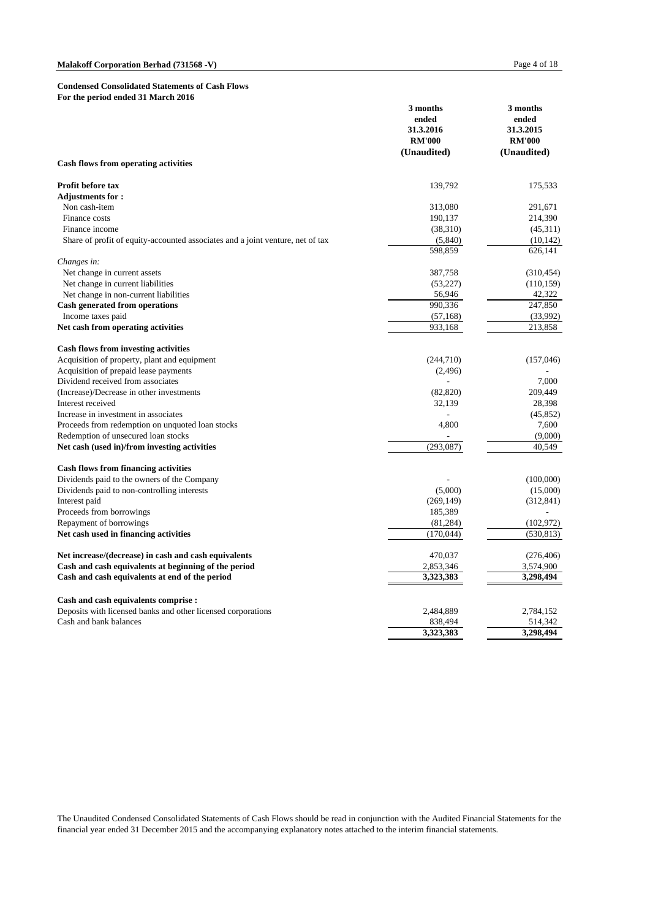#### **Condensed Consolidated Statements of Cash Flows For the period ended 31 March 2016**

|                                                                                | 3 months<br>ended<br>31.3.2016 | 3 months<br>ended<br>31.3.2015 |
|--------------------------------------------------------------------------------|--------------------------------|--------------------------------|
|                                                                                | <b>RM'000</b>                  | <b>RM'000</b>                  |
|                                                                                | (Unaudited)                    | (Unaudited)                    |
| <b>Cash flows from operating activities</b>                                    |                                |                                |
| Profit before tax                                                              | 139,792                        | 175,533                        |
| <b>Adjustments for:</b>                                                        |                                |                                |
| Non cash-item                                                                  | 313,080                        | 291,671                        |
| Finance costs                                                                  | 190,137                        | 214,390                        |
| Finance income                                                                 | (38,310)                       | (45,311)                       |
| Share of profit of equity-accounted associates and a joint venture, net of tax | (5,840)                        | (10, 142)                      |
|                                                                                | 598.859                        | 626,141                        |
| Changes in:                                                                    |                                |                                |
| Net change in current assets                                                   | 387,758                        | (310, 454)                     |
| Net change in current liabilities                                              | (53, 227)                      | (110, 159)                     |
| Net change in non-current liabilities                                          | 56,946                         | 42,322                         |
| <b>Cash generated from operations</b>                                          | 990,336                        | 247,850                        |
| Income taxes paid                                                              | (57, 168)                      | (33,992)                       |
| Net cash from operating activities                                             | 933,168                        | 213,858                        |
| <b>Cash flows from investing activities</b>                                    |                                |                                |
| Acquisition of property, plant and equipment                                   | (244,710)                      | (157, 046)                     |
| Acquisition of prepaid lease payments                                          | (2,496)                        |                                |
| Dividend received from associates                                              |                                | 7,000                          |
| (Increase)/Decrease in other investments                                       | (82, 820)                      | 209,449                        |
| Interest received                                                              | 32,139                         | 28,398                         |
| Increase in investment in associates                                           |                                | (45, 852)                      |
| Proceeds from redemption on unquoted loan stocks                               | 4,800                          | 7,600                          |
| Redemption of unsecured loan stocks                                            |                                | (9,000)                        |
| Net cash (used in)/from investing activities                                   | (293, 087)                     | 40,549                         |
| <b>Cash flows from financing activities</b>                                    |                                |                                |
| Dividends paid to the owners of the Company                                    |                                | (100,000)                      |
| Dividends paid to non-controlling interests                                    | (5,000)                        | (15,000)                       |
| Interest paid                                                                  | (269, 149)                     | (312, 841)                     |
| Proceeds from borrowings                                                       | 185,389                        |                                |
| Repayment of borrowings                                                        | (81, 284)                      | (102, 972)                     |
| Net cash used in financing activities                                          | (170, 044)                     | (530, 813)                     |
|                                                                                |                                |                                |
| Net increase/(decrease) in cash and cash equivalents                           | 470,037                        | (276, 406)                     |
| Cash and cash equivalents at beginning of the period                           | 2,853,346                      | 3,574,900                      |
| Cash and cash equivalents at end of the period                                 | 3,323,383                      | 3,298,494                      |
| Cash and cash equivalents comprise :                                           |                                |                                |
| Deposits with licensed banks and other licensed corporations                   | 2,484,889                      | 2,784,152                      |
| Cash and bank balances                                                         | 838,494                        | 514,342                        |
|                                                                                | 3,323,383                      | 3,298,494                      |

The Unaudited Condensed Consolidated Statements of Cash Flows should be read in conjunction with the Audited Financial Statements for the financial year ended 31 December 2015 and the accompanying explanatory notes attached to the interim financial statements.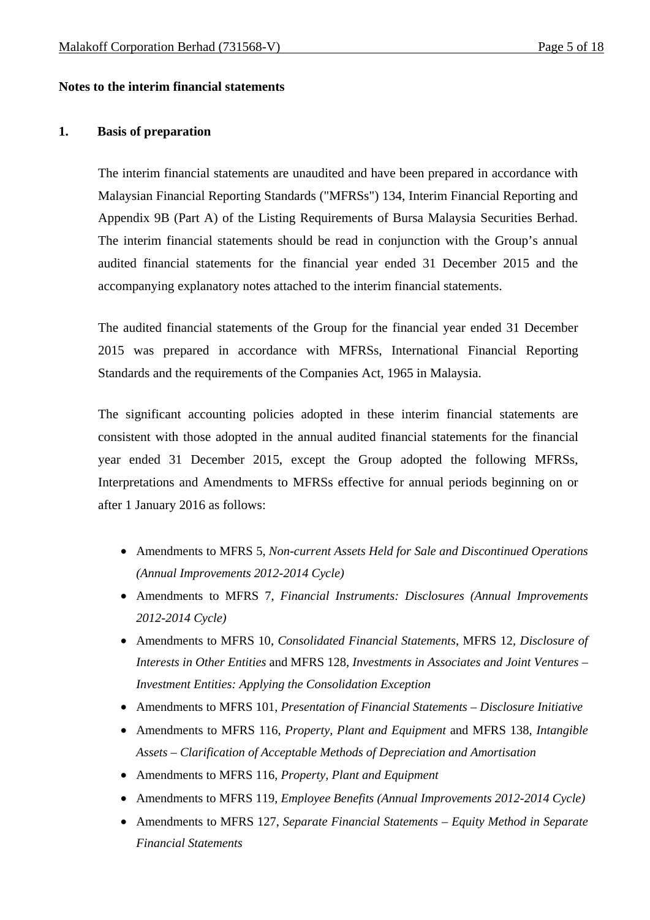#### **Notes to the interim financial statements**

#### **1. Basis of preparation**

The interim financial statements are unaudited and have been prepared in accordance with Malaysian Financial Reporting Standards ("MFRSs") 134, Interim Financial Reporting and Appendix 9B (Part A) of the Listing Requirements of Bursa Malaysia Securities Berhad. The interim financial statements should be read in conjunction with the Group's annual audited financial statements for the financial year ended 31 December 2015 and the accompanying explanatory notes attached to the interim financial statements.

The audited financial statements of the Group for the financial year ended 31 December 2015 was prepared in accordance with MFRSs, International Financial Reporting Standards and the requirements of the Companies Act, 1965 in Malaysia.

The significant accounting policies adopted in these interim financial statements are consistent with those adopted in the annual audited financial statements for the financial year ended 31 December 2015, except the Group adopted the following MFRSs, Interpretations and Amendments to MFRSs effective for annual periods beginning on or after 1 January 2016 as follows:

- Amendments to MFRS 5, *Non-current Assets Held for Sale and Discontinued Operations (Annual Improvements 2012-2014 Cycle)*
- Amendments to MFRS 7, *Financial Instruments: Disclosures (Annual Improvements 2012-2014 Cycle)*
- Amendments to MFRS 10, *Consolidated Financial Statements*, MFRS 12, *Disclosure of Interests in Other Entities* and MFRS 128, *Investments in Associates and Joint Ventures – Investment Entities: Applying the Consolidation Exception*
- Amendments to MFRS 101, *Presentation of Financial Statements Disclosure Initiative*
- Amendments to MFRS 116, *Property, Plant and Equipment* and MFRS 138, *Intangible Assets – Clarification of Acceptable Methods of Depreciation and Amortisation*
- Amendments to MFRS 116, *Property, Plant and Equipment*
- Amendments to MFRS 119, *Employee Benefits (Annual Improvements 2012-2014 Cycle)*
- Amendments to MFRS 127, *Separate Financial Statements Equity Method in Separate Financial Statements*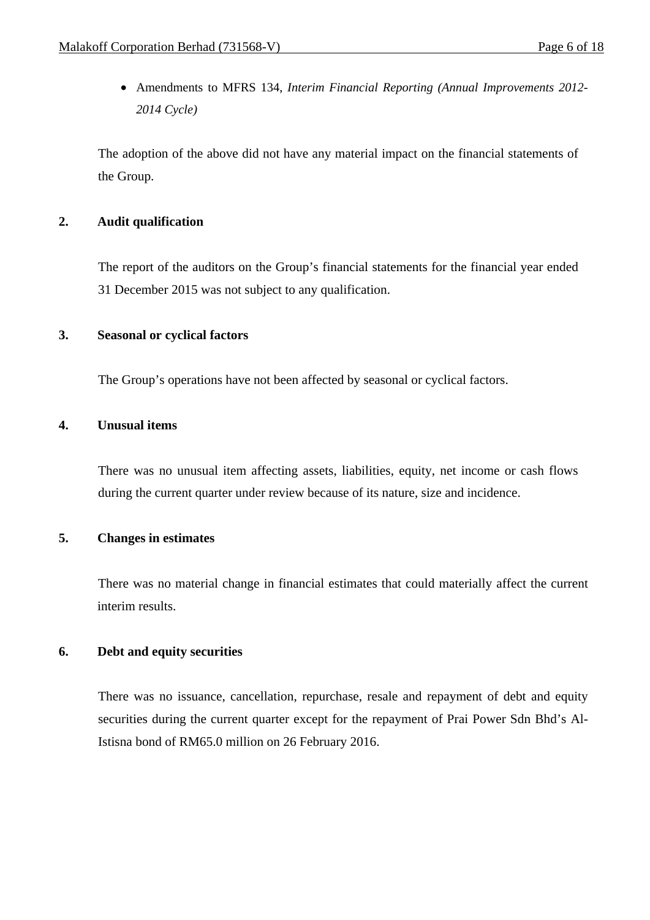Amendments to MFRS 134, *Interim Financial Reporting (Annual Improvements 2012- 2014 Cycle)*

The adoption of the above did not have any material impact on the financial statements of the Group.

#### **2. Audit qualification**

The report of the auditors on the Group's financial statements for the financial year ended 31 December 2015 was not subject to any qualification.

#### **3. Seasonal or cyclical factors**

The Group's operations have not been affected by seasonal or cyclical factors.

# **4. Unusual items**

There was no unusual item affecting assets, liabilities, equity, net income or cash flows during the current quarter under review because of its nature, size and incidence.

# **5. Changes in estimates**

 There was no material change in financial estimates that could materially affect the current interim results.

# **6. Debt and equity securities**

There was no issuance, cancellation, repurchase, resale and repayment of debt and equity securities during the current quarter except for the repayment of Prai Power Sdn Bhd's Al-Istisna bond of RM65.0 million on 26 February 2016.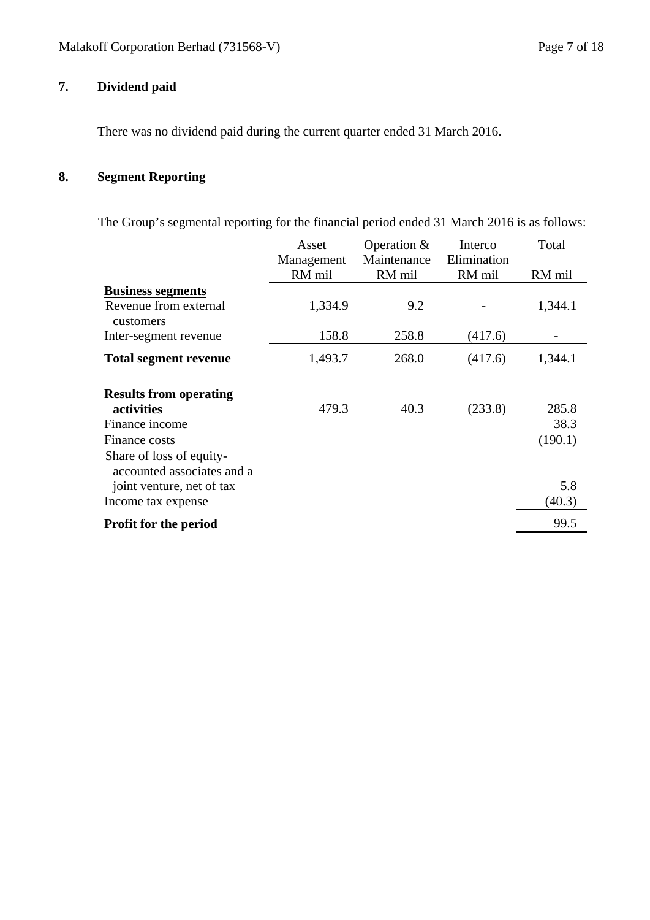# **7. Dividend paid**

There was no dividend paid during the current quarter ended 31 March 2016.

# **8. Segment Reporting**

The Group's segmental reporting for the financial period ended 31 March 2016 is as follows:

|                               | Asset      | Operation $&$ | Interco     | Total   |
|-------------------------------|------------|---------------|-------------|---------|
|                               | Management | Maintenance   | Elimination |         |
|                               | RM mil     | RM mil        | RM mil      | RM mil  |
| <b>Business segments</b>      |            |               |             |         |
| Revenue from external         | 1,334.9    | 9.2           |             | 1,344.1 |
| customers                     |            |               |             |         |
| Inter-segment revenue         | 158.8      | 258.8         | (417.6)     |         |
| <b>Total segment revenue</b>  | 1,493.7    | 268.0         | (417.6)     | 1,344.1 |
|                               |            |               |             |         |
| <b>Results from operating</b> |            |               |             |         |
| activities                    | 479.3      | 40.3          | (233.8)     | 285.8   |
| Finance income                |            |               |             | 38.3    |
| Finance costs                 |            |               |             | (190.1) |
| Share of loss of equity-      |            |               |             |         |
| accounted associates and a    |            |               |             |         |
| joint venture, net of tax     |            |               |             | 5.8     |
| Income tax expense            |            |               |             | (40.3)  |
| <b>Profit for the period</b>  |            |               |             | 99.5    |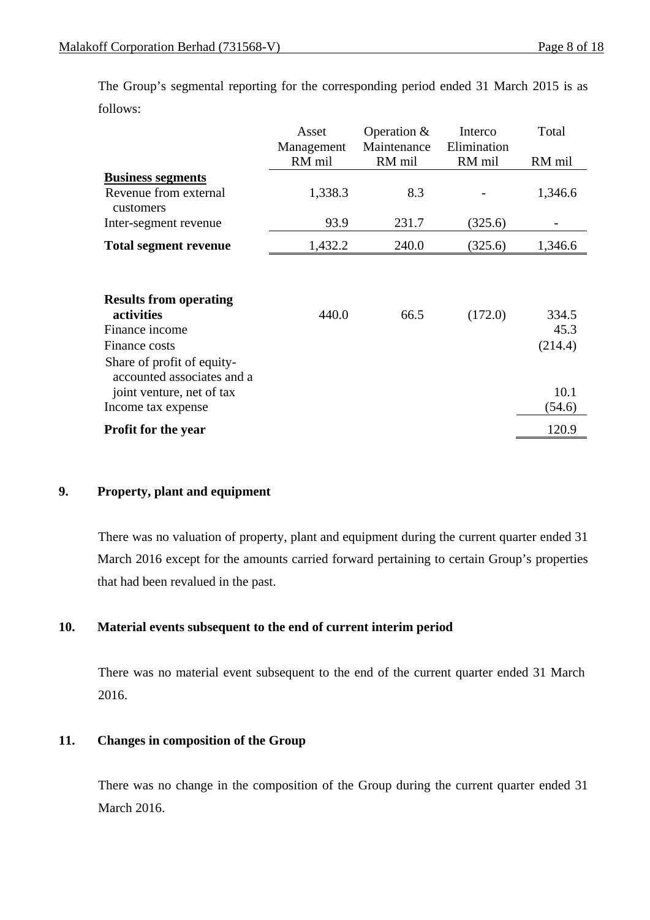The Group's segmental reporting for the corresponding period ended 31 March 2015 is as follows:

|                                                          | Asset      | Operation $&$ | Interco     | Total   |
|----------------------------------------------------------|------------|---------------|-------------|---------|
|                                                          | Management | Maintenance   | Elimination |         |
|                                                          | RM mil     | RM mil        | RM mil      | RM mil  |
| <b>Business segments</b>                                 |            |               |             |         |
| Revenue from external<br>customers                       | 1,338.3    | 8.3           |             | 1,346.6 |
| Inter-segment revenue                                    | 93.9       | 231.7         | (325.6)     |         |
| <b>Total segment revenue</b>                             | 1,432.2    | 240.0         | (325.6)     | 1,346.6 |
| <b>Results from operating</b><br>activities              | 440.0      | 66.5          | (172.0)     | 334.5   |
| Finance income                                           |            |               |             | 45.3    |
| Finance costs                                            |            |               |             | (214.4) |
| Share of profit of equity-<br>accounted associates and a |            |               |             |         |
| joint venture, net of tax                                |            |               |             | 10.1    |
| Income tax expense                                       |            |               |             | (54.6)  |
| <b>Profit for the year</b>                               |            |               |             | 120.9   |

# **9. Property, plant and equipment**

 There was no valuation of property, plant and equipment during the current quarter ended 31 March 2016 except for the amounts carried forward pertaining to certain Group's properties that had been revalued in the past.

# **10. Material events subsequent to the end of current interim period**

There was no material event subsequent to the end of the current quarter ended 31 March 2016.

# **11. Changes in composition of the Group**

There was no change in the composition of the Group during the current quarter ended 31 March 2016.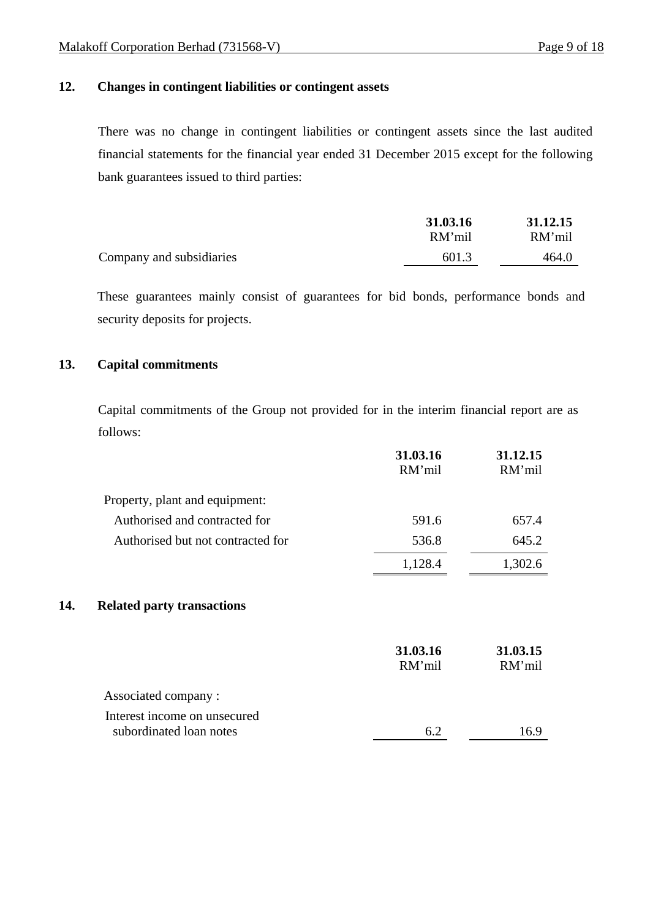# **12. Changes in contingent liabilities or contingent assets**

There was no change in contingent liabilities or contingent assets since the last audited financial statements for the financial year ended 31 December 2015 except for the following bank guarantees issued to third parties:

|                          | 31.03.16 | 31.12.15 |
|--------------------------|----------|----------|
|                          | RM'mil   | RM'mil   |
| Company and subsidiaries | 601.3    | 464.0    |

These guarantees mainly consist of guarantees for bid bonds, performance bonds and security deposits for projects.

#### **13. Capital commitments**

 Capital commitments of the Group not provided for in the interim financial report are as follows:

|                                                         | 31.03.16<br>RM'mil | 31.12.15<br>RM'mil |
|---------------------------------------------------------|--------------------|--------------------|
| Property, plant and equipment:                          |                    |                    |
| Authorised and contracted for                           | 591.6              | 657.4              |
| Authorised but not contracted for                       | 536.8              | 645.2              |
|                                                         | 1,128.4            | 1,302.6            |
| 14.<br><b>Related party transactions</b>                |                    |                    |
|                                                         | 31.03.16<br>RM'mil | 31.03.15<br>RM'mil |
| Associated company:                                     |                    |                    |
| Interest income on unsecured<br>subordinated loan notes |                    |                    |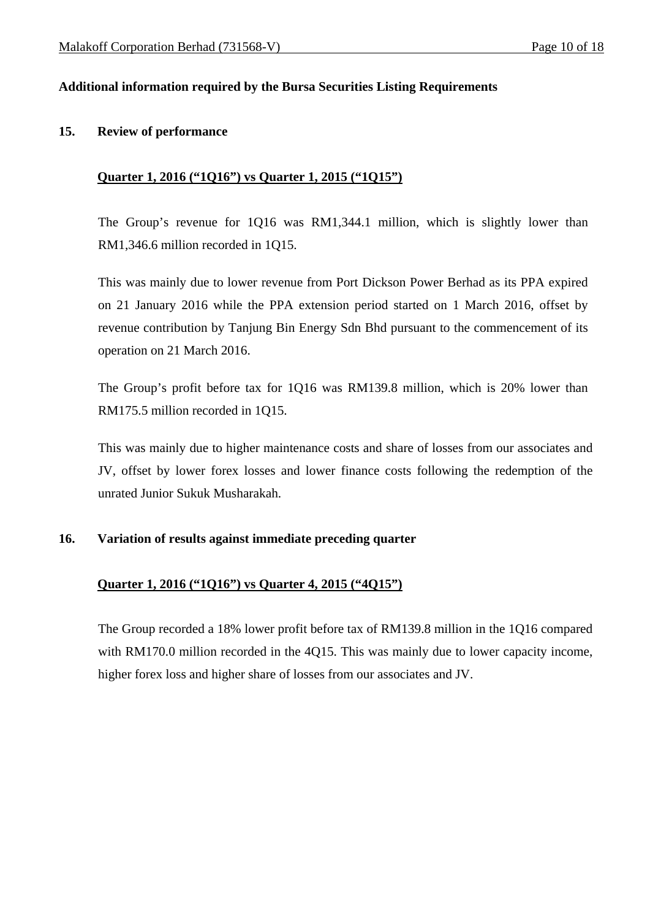# **Additional information required by the Bursa Securities Listing Requirements**

#### **15. Review of performance**

#### **Quarter 1, 2016 ("1Q16") vs Quarter 1, 2015 ("1Q15")**

The Group's revenue for 1Q16 was RM1,344.1 million, which is slightly lower than RM1,346.6 million recorded in 1Q15.

This was mainly due to lower revenue from Port Dickson Power Berhad as its PPA expired on 21 January 2016 while the PPA extension period started on 1 March 2016, offset by revenue contribution by Tanjung Bin Energy Sdn Bhd pursuant to the commencement of its operation on 21 March 2016.

The Group's profit before tax for 1Q16 was RM139.8 million, which is 20% lower than RM175.5 million recorded in 1Q15.

This was mainly due to higher maintenance costs and share of losses from our associates and JV, offset by lower forex losses and lower finance costs following the redemption of the unrated Junior Sukuk Musharakah.

#### **16. Variation of results against immediate preceding quarter**

# **Quarter 1, 2016 ("1Q16") vs Quarter 4, 2015 ("4Q15")**

The Group recorded a 18% lower profit before tax of RM139.8 million in the 1Q16 compared with RM170.0 million recorded in the 4015. This was mainly due to lower capacity income, higher forex loss and higher share of losses from our associates and JV.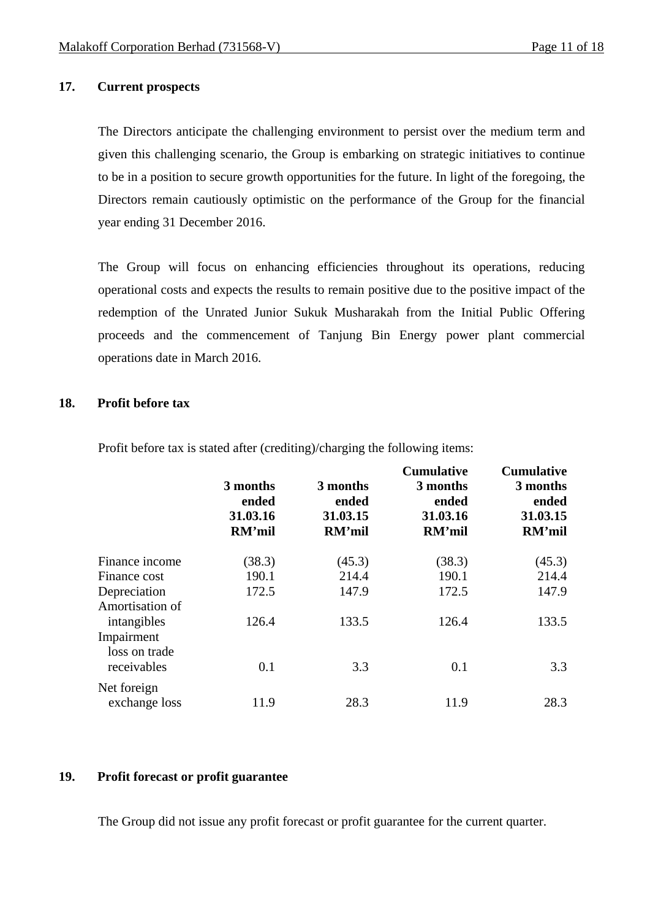#### **17. Current prospects**

 The Directors anticipate the challenging environment to persist over the medium term and given this challenging scenario, the Group is embarking on strategic initiatives to continue to be in a position to secure growth opportunities for the future. In light of the foregoing, the Directors remain cautiously optimistic on the performance of the Group for the financial year ending 31 December 2016.

The Group will focus on enhancing efficiencies throughout its operations, reducing operational costs and expects the results to remain positive due to the positive impact of the redemption of the Unrated Junior Sukuk Musharakah from the Initial Public Offering proceeds and the commencement of Tanjung Bin Energy power plant commercial operations date in March 2016.

#### **18. Profit before tax**

Profit before tax is stated after (crediting)/charging the following items:

|                                            | 3 months<br>ended<br>31.03.16<br>RM'mil | 3 months<br>ended<br>31.03.15<br>RM'mil | <b>Cumulative</b><br>3 months<br>ended<br>31.03.16<br>RM'mil | <b>Cumulative</b><br>3 months<br>ended<br>31.03.15<br>RM'mil |
|--------------------------------------------|-----------------------------------------|-----------------------------------------|--------------------------------------------------------------|--------------------------------------------------------------|
| Finance income                             | (38.3)                                  | (45.3)                                  | (38.3)                                                       | (45.3)                                                       |
| Finance cost                               | 190.1                                   | 214.4                                   | 190.1                                                        | 214.4                                                        |
| Depreciation<br>Amortisation of            | 172.5                                   | 147.9                                   | 172.5                                                        | 147.9                                                        |
| intangibles<br>Impairment<br>loss on trade | 126.4                                   | 133.5                                   | 126.4                                                        | 133.5                                                        |
| receivables                                | 0.1                                     | 3.3                                     | 0.1                                                          | 3.3                                                          |
| Net foreign<br>exchange loss               | 11.9                                    | 28.3                                    | 11.9                                                         | 28.3                                                         |

#### **19. Profit forecast or profit guarantee**

The Group did not issue any profit forecast or profit guarantee for the current quarter.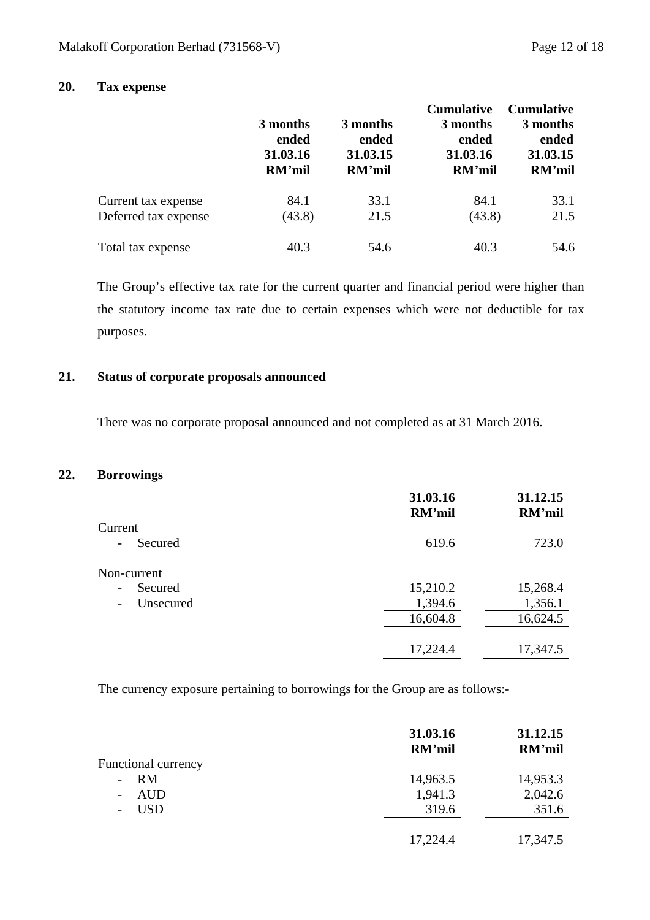# **20. Tax expense**

|                      |          |          | <b>Cumulative</b> | <b>Cumulative</b> |
|----------------------|----------|----------|-------------------|-------------------|
|                      | 3 months | 3 months | 3 months          | 3 months          |
|                      | ended    | ended    | ended             | ended             |
|                      | 31.03.16 | 31.03.15 | 31.03.16          | 31.03.15          |
|                      | RM'mil   | RM'mil   | RM'mil            | RM'mil            |
| Current tax expense  | 84.1     | 33.1     | 84.1              | 33.1              |
| Deferred tax expense | (43.8)   | 21.5     | (43.8)            | 21.5              |
| Total tax expense    | 40.3     | 54.6     | 40.3              | 54.6              |

The Group's effective tax rate for the current quarter and financial period were higher than the statutory income tax rate due to certain expenses which were not deductible for tax purposes.

# **21. Status of corporate proposals announced**

There was no corporate proposal announced and not completed as at 31 March 2016.

#### **22. Borrowings**

|                                       | 31.03.16<br>RM'mil | 31.12.15<br>RM'mil |
|---------------------------------------|--------------------|--------------------|
| Current                               |                    |                    |
| Secured<br>$\qquad \qquad -$          | 619.6              | 723.0              |
| Non-current                           |                    |                    |
| Secured<br>$\overline{\phantom{a}}$   | 15,210.2           | 15,268.4           |
| Unsecured<br>$\overline{\phantom{a}}$ | 1,394.6            | 1,356.1            |
|                                       | 16,604.8           | 16,624.5           |
|                                       |                    |                    |
|                                       | 17,224.4           | 17,347.5           |

The currency exposure pertaining to borrowings for the Group are as follows:-

|                                        | 31.03.16<br>RM'mil | 31.12.15<br>RM'mil |
|----------------------------------------|--------------------|--------------------|
| <b>Functional currency</b>             |                    |                    |
| RM<br>$\overline{\phantom{a}}$         | 14,963.5           | 14,953.3           |
| <b>AUD</b><br>$\overline{\phantom{a}}$ | 1,941.3            | 2,042.6            |
| <b>USD</b><br>$\overline{\phantom{a}}$ | 319.6              | 351.6              |
|                                        |                    |                    |
|                                        | 17,224.4           | 17,347.5           |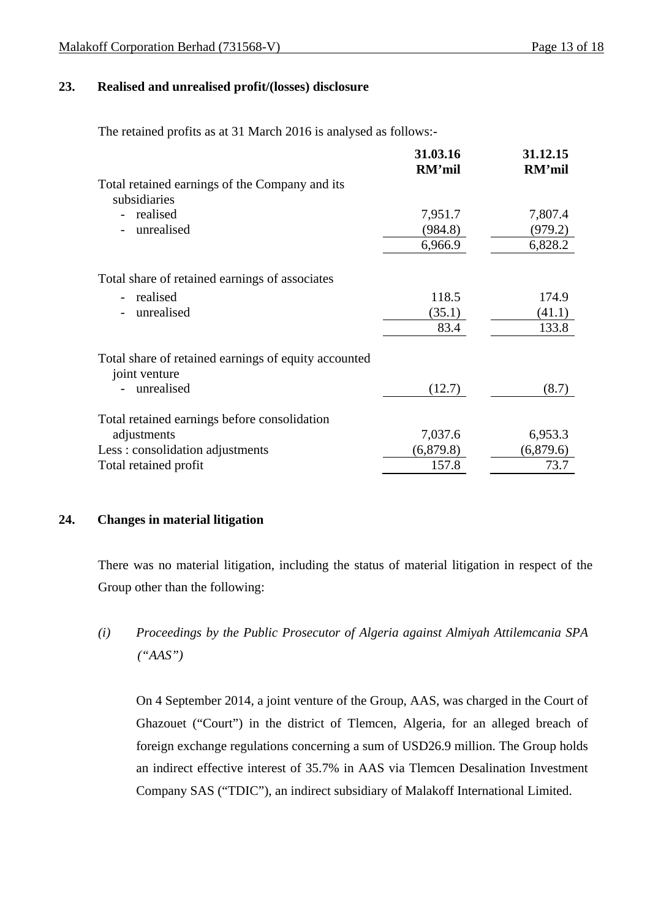#### **23. Realised and unrealised profit/(losses) disclosure**

The retained profits as at 31 March 2016 is analysed as follows:-

| 31.03.16  | 31.12.15<br>RM'mil |
|-----------|--------------------|
|           |                    |
| 7,951.7   | 7,807.4            |
| (984.8)   | (979.2)            |
| 6,966.9   | 6,828.2            |
|           |                    |
| 118.5     | 174.9              |
| (35.1)    | (41.1)             |
| 83.4      | 133.8              |
|           |                    |
| (12.7)    | (8.7)              |
|           |                    |
| 7,037.6   | 6,953.3            |
| (6,879.8) | (6,879.6)          |
| 157.8     | 73.7               |
|           | RM'mil             |

# **24. Changes in material litigation**

There was no material litigation, including the status of material litigation in respect of the Group other than the following:

*(i) Proceedings by the Public Prosecutor of Algeria against Almiyah Attilemcania SPA ("AAS")* 

On 4 September 2014, a joint venture of the Group, AAS, was charged in the Court of Ghazouet ("Court") in the district of Tlemcen, Algeria, for an alleged breach of foreign exchange regulations concerning a sum of USD26.9 million. The Group holds an indirect effective interest of 35.7% in AAS via Tlemcen Desalination Investment Company SAS ("TDIC"), an indirect subsidiary of Malakoff International Limited.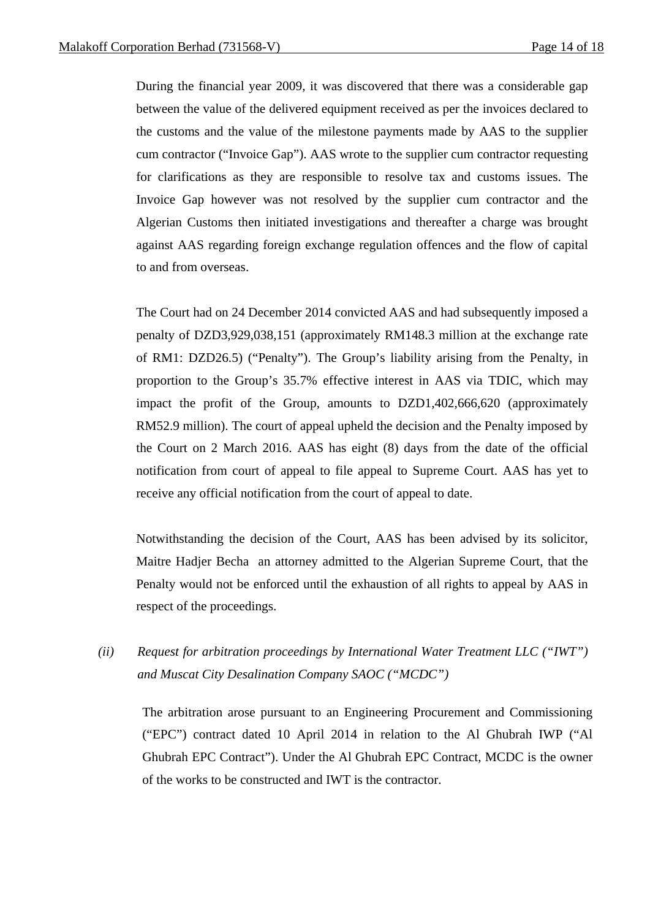During the financial year 2009, it was discovered that there was a considerable gap between the value of the delivered equipment received as per the invoices declared to the customs and the value of the milestone payments made by AAS to the supplier cum contractor ("Invoice Gap"). AAS wrote to the supplier cum contractor requesting for clarifications as they are responsible to resolve tax and customs issues. The Invoice Gap however was not resolved by the supplier cum contractor and the Algerian Customs then initiated investigations and thereafter a charge was brought against AAS regarding foreign exchange regulation offences and the flow of capital to and from overseas.

The Court had on 24 December 2014 convicted AAS and had subsequently imposed a penalty of DZD3,929,038,151 (approximately RM148.3 million at the exchange rate of RM1: DZD26.5) ("Penalty"). The Group's liability arising from the Penalty, in proportion to the Group's 35.7% effective interest in AAS via TDIC, which may impact the profit of the Group, amounts to DZD1,402,666,620 (approximately RM52.9 million). The court of appeal upheld the decision and the Penalty imposed by the Court on 2 March 2016. AAS has eight (8) days from the date of the official notification from court of appeal to file appeal to Supreme Court. AAS has yet to receive any official notification from the court of appeal to date.

Notwithstanding the decision of the Court, AAS has been advised by its solicitor, Maitre Hadjer Becha an attorney admitted to the Algerian Supreme Court, that the Penalty would not be enforced until the exhaustion of all rights to appeal by AAS in respect of the proceedings.

*(ii) Request for arbitration proceedings by International Water Treatment LLC ("IWT") and Muscat City Desalination Company SAOC ("MCDC")* 

The arbitration arose pursuant to an Engineering Procurement and Commissioning ("EPC") contract dated 10 April 2014 in relation to the Al Ghubrah IWP ("Al Ghubrah EPC Contract"). Under the Al Ghubrah EPC Contract, MCDC is the owner of the works to be constructed and IWT is the contractor.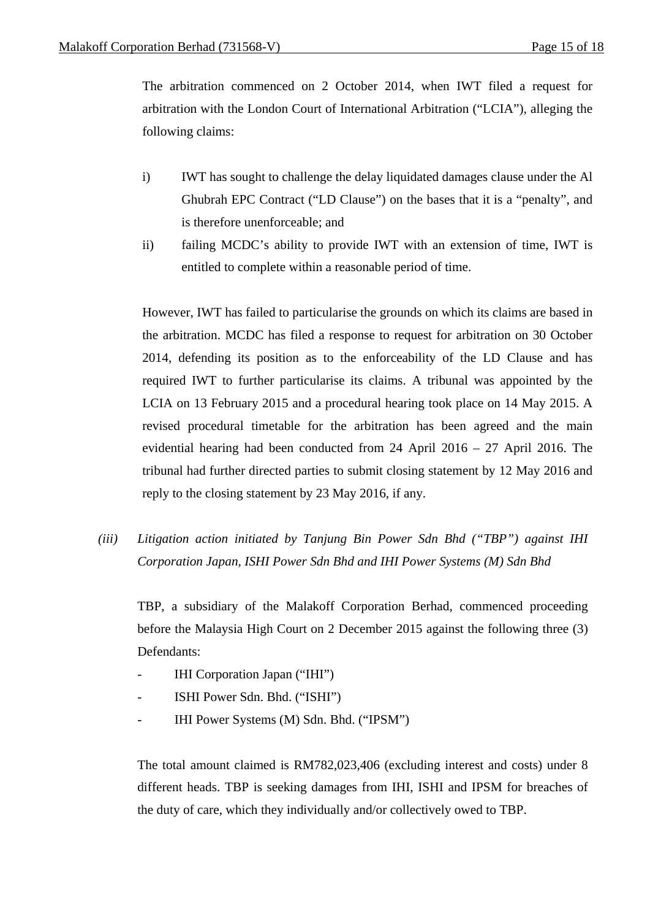The arbitration commenced on 2 October 2014, when IWT filed a request for arbitration with the London Court of International Arbitration ("LCIA"), alleging the following claims:

- i) IWT has sought to challenge the delay liquidated damages clause under the Al Ghubrah EPC Contract ("LD Clause") on the bases that it is a "penalty", and is therefore unenforceable; and
- ii) failing MCDC's ability to provide IWT with an extension of time, IWT is entitled to complete within a reasonable period of time.

However, IWT has failed to particularise the grounds on which its claims are based in the arbitration. MCDC has filed a response to request for arbitration on 30 October 2014, defending its position as to the enforceability of the LD Clause and has required IWT to further particularise its claims. A tribunal was appointed by the LCIA on 13 February 2015 and a procedural hearing took place on 14 May 2015. A revised procedural timetable for the arbitration has been agreed and the main evidential hearing had been conducted from 24 April 2016 – 27 April 2016. The tribunal had further directed parties to submit closing statement by 12 May 2016 and reply to the closing statement by 23 May 2016, if any.

*(iii) Litigation action initiated by Tanjung Bin Power Sdn Bhd ("TBP") against IHI Corporation Japan, ISHI Power Sdn Bhd and IHI Power Systems (M) Sdn Bhd* 

TBP, a subsidiary of the Malakoff Corporation Berhad, commenced proceeding before the Malaysia High Court on 2 December 2015 against the following three (3) Defendants:

- IHI Corporation Japan ("IHI")
- ISHI Power Sdn. Bhd. ("ISHI")
- IHI Power Systems (M) Sdn. Bhd. ("IPSM")

The total amount claimed is RM782,023,406 (excluding interest and costs) under 8 different heads. TBP is seeking damages from IHI, ISHI and IPSM for breaches of the duty of care, which they individually and/or collectively owed to TBP.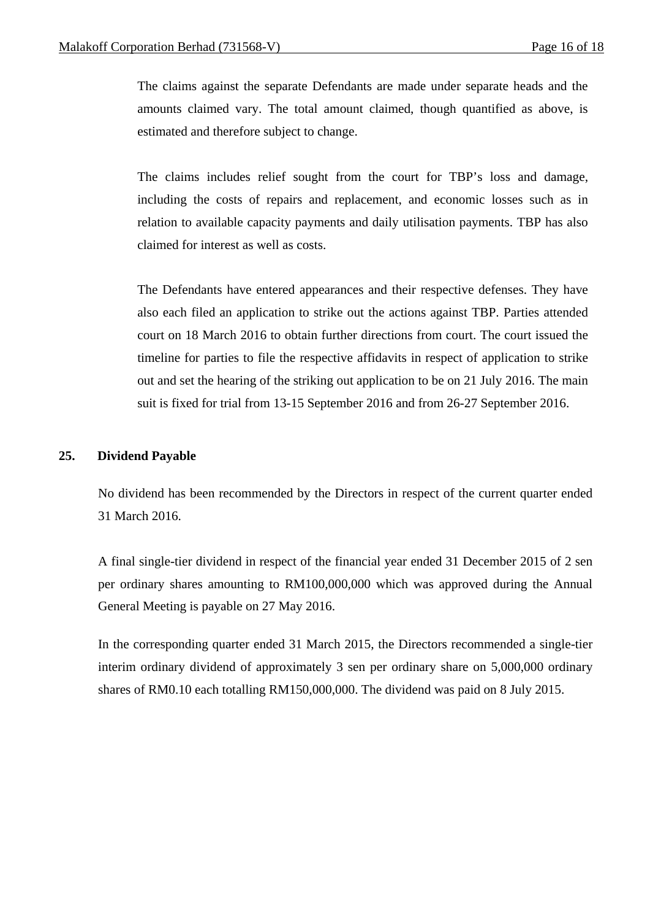The claims against the separate Defendants are made under separate heads and the amounts claimed vary. The total amount claimed, though quantified as above, is estimated and therefore subject to change.

The claims includes relief sought from the court for TBP's loss and damage, including the costs of repairs and replacement, and economic losses such as in relation to available capacity payments and daily utilisation payments. TBP has also claimed for interest as well as costs.

The Defendants have entered appearances and their respective defenses. They have also each filed an application to strike out the actions against TBP. Parties attended court on 18 March 2016 to obtain further directions from court. The court issued the timeline for parties to file the respective affidavits in respect of application to strike out and set the hearing of the striking out application to be on 21 July 2016. The main suit is fixed for trial from 13-15 September 2016 and from 26-27 September 2016.

#### **25. Dividend Payable**

No dividend has been recommended by the Directors in respect of the current quarter ended 31 March 2016.

A final single-tier dividend in respect of the financial year ended 31 December 2015 of 2 sen per ordinary shares amounting to RM100,000,000 which was approved during the Annual General Meeting is payable on 27 May 2016.

In the corresponding quarter ended 31 March 2015, the Directors recommended a single-tier interim ordinary dividend of approximately 3 sen per ordinary share on 5,000,000 ordinary shares of RM0.10 each totalling RM150,000,000. The dividend was paid on 8 July 2015.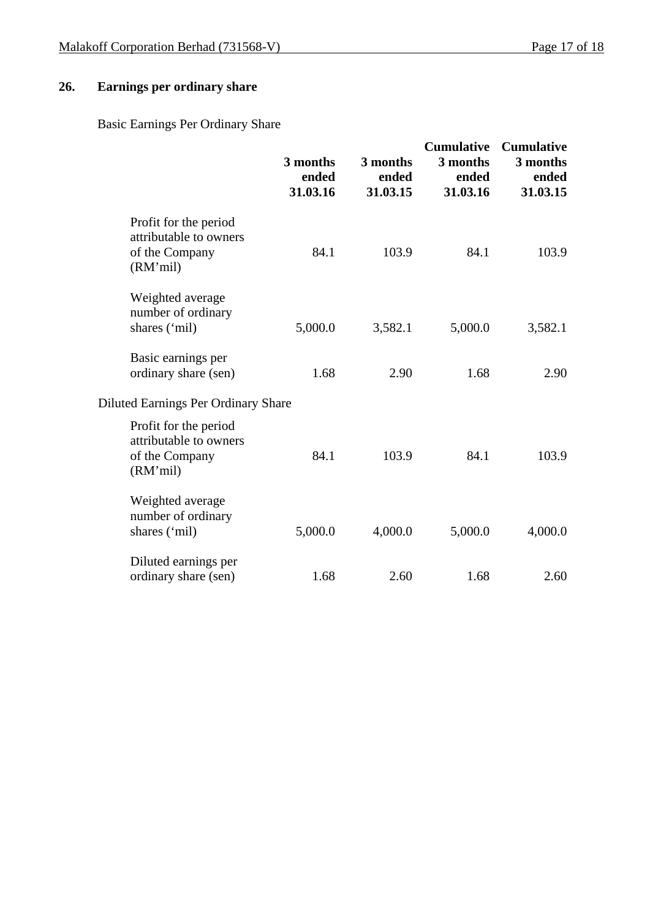# **26. Earnings per ordinary share**

Basic Earnings Per Ordinary Share

|                                                                               | 3 months<br>ended<br>31.03.16 | 3 months<br>ended<br>31.03.15 | <b>Cumulative</b><br>3 months<br>ended<br>31.03.16 | <b>Cumulative</b><br>3 months<br>ended<br>31.03.15 |
|-------------------------------------------------------------------------------|-------------------------------|-------------------------------|----------------------------------------------------|----------------------------------------------------|
| Profit for the period<br>attributable to owners<br>of the Company<br>(RM'mil) | 84.1                          | 103.9                         | 84.1                                               | 103.9                                              |
| Weighted average<br>number of ordinary<br>shares ('mil)                       | 5,000.0                       | 3,582.1                       | 5,000.0                                            | 3,582.1                                            |
| Basic earnings per<br>ordinary share (sen)                                    | 1.68                          | 2.90                          | 1.68                                               | 2.90                                               |
| <b>Diluted Earnings Per Ordinary Share</b>                                    |                               |                               |                                                    |                                                    |
| Profit for the period<br>attributable to owners<br>of the Company<br>(RM'mil) | 84.1                          | 103.9                         | 84.1                                               | 103.9                                              |
| Weighted average<br>number of ordinary<br>shares ('mil)                       | 5,000.0                       | 4,000.0                       | 5,000.0                                            | 4,000.0                                            |
| Diluted earnings per<br>ordinary share (sen)                                  | 1.68                          | 2.60                          | 1.68                                               | 2.60                                               |